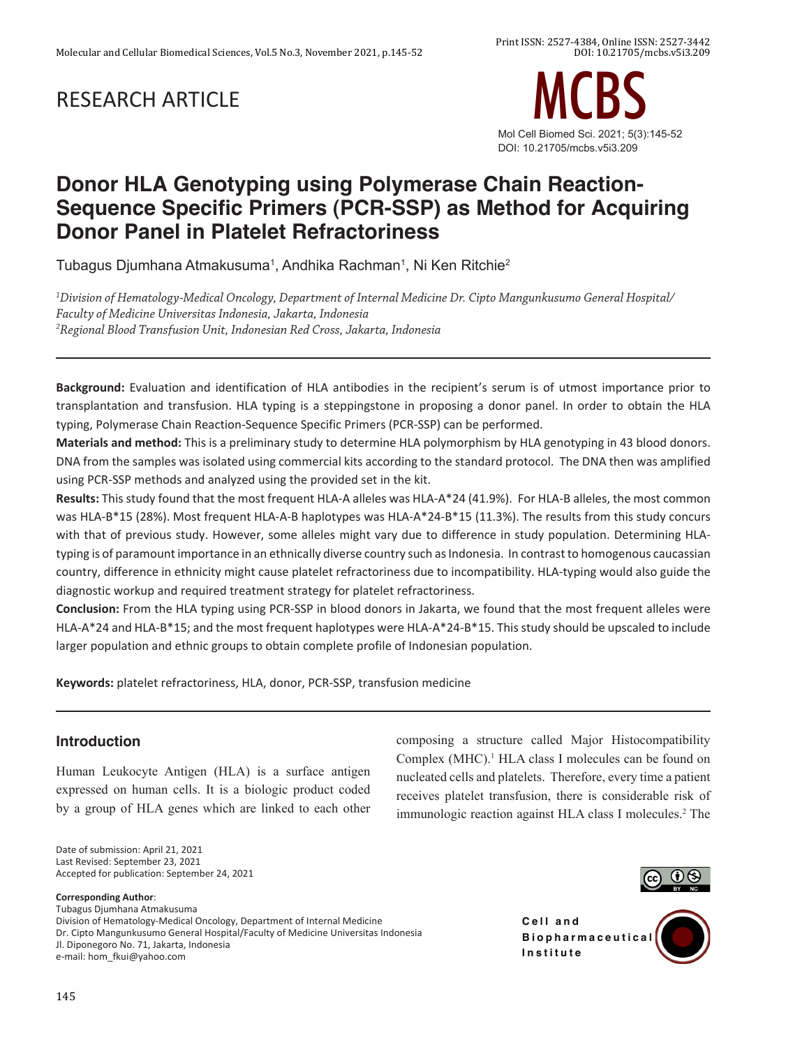# RESEARCH ARTICLE



# **Donor HLA Genotyping using Polymerase Chain Reaction-Sequence Specific Primers (PCR-SSP) as Method for Acquiring Donor Panel in Platelet Refractoriness**

Tubagus Djumhana Atmakusuma $^{\rm 1}$ , Andhika Rachman $^{\rm 1}$ , Ni Ken Ritchie $^{\rm 2}$ 

*1 Division of Hematology-Medical Oncology, Department of Internal Medicine Dr. Cipto Mangunkusumo General Hospital/ Faculty of Medicine Universitas Indonesia, Jakarta, Indonesia 2 Regional Blood Transfusion Unit, Indonesian Red Cross, Jakarta, Indonesia*

**Background:** Evaluation and identification of HLA antibodies in the recipient's serum is of utmost importance prior to transplantation and transfusion. HLA typing is a steppingstone in proposing a donor panel. In order to obtain the HLA typing, Polymerase Chain Reaction-Sequence Specific Primers (PCR-SSP) can be performed.

**Materials and method:** This is a preliminary study to determine HLA polymorphism by HLA genotyping in 43 blood donors. DNA from the samples was isolated using commercial kits according to the standard protocol. The DNA then was amplified using PCR-SSP methods and analyzed using the provided set in the kit.

Results: This study found that the most frequent HLA-A alleles was HLA-A\*24 (41.9%). For HLA-B alleles, the most common was HLA-B\*15 (28%). Most frequent HLA-A-B haplotypes was HLA-A\*24-B\*15 (11.3%). The results from this study concurs with that of previous study. However, some alleles might vary due to difference in study population. Determining HLAtyping is of paramount importance in an ethnically diverse country such as Indonesia. In contrast to homogenous caucassian country, difference in ethnicity might cause platelet refractoriness due to incompatibility. HLA-typing would also guide the diagnostic workup and required treatment strategy for platelet refractoriness.

**Conclusion:** From the HLA typing using PCR-SSP in blood donors in Jakarta, we found that the most frequent alleles were HLA-A\*24 and HLA-B\*15; and the most frequent haplotypes were HLA-A\*24-B\*15. This study should be upscaled to include larger population and ethnic groups to obtain complete profile of Indonesian population.

**Keywords:** platelet refractoriness, HLA, donor, PCR-SSP, transfusion medicine

# **Introduction**

Human Leukocyte Antigen (HLA) is a surface antigen expressed on human cells. It is a biologic product coded by a group of HLA genes which are linked to each other

Date of submission: April 21, 2021 Last Revised: September 23, 2021 Accepted for publication: September 24, 2021

#### **Corresponding Author**:

Tubagus Djumhana Atmakusuma Division of Hematology-Medical Oncology, Department of Internal Medicine Dr. Cipto Mangunkusumo General Hospital/Faculty of Medicine Universitas Indonesia Jl. Diponegoro No. 71, Jakarta, Indonesia e-mail: hom\_fkui@yahoo.com

composing a structure called Major Histocompatibility Complex (MHC).<sup>1</sup> HLA class I molecules can be found on nucleated cells and platelets. Therefore, every time a patient receives platelet transfusion, there is considerable risk of immunologic reaction against HLA class I molecules.<sup>2</sup> The



**Cell and B i o p h a r m a c e u t i c a l Institute**

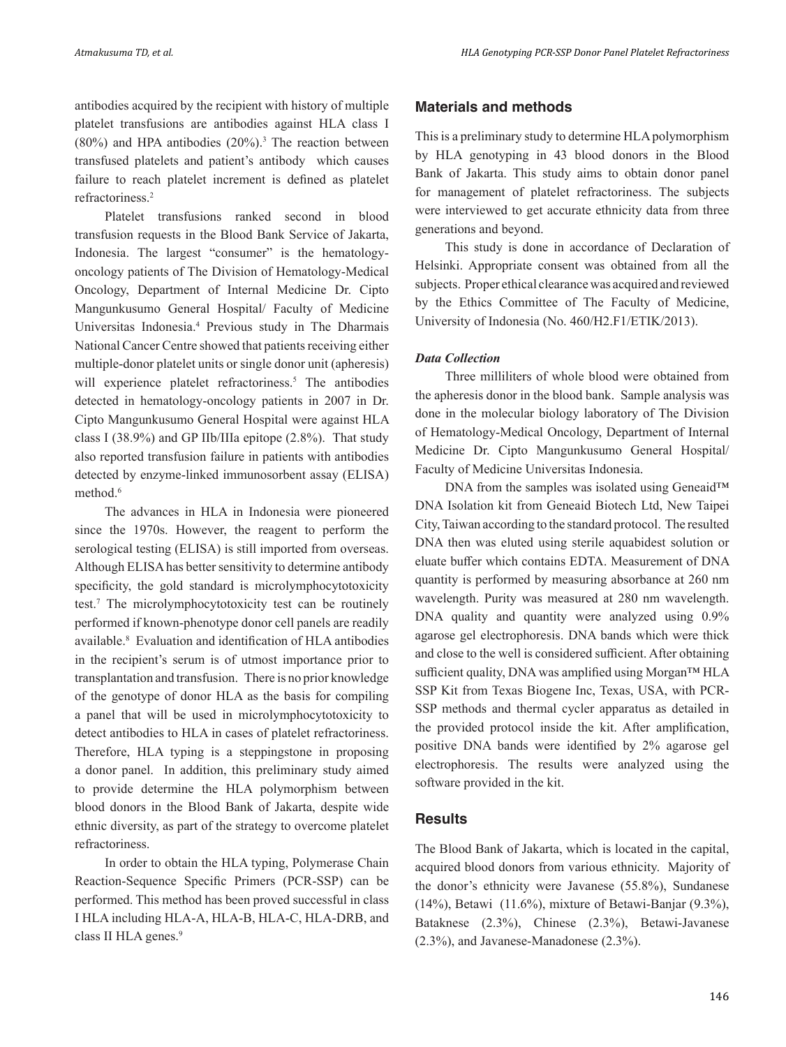antibodies acquired by the recipient with history of multiple platelet transfusions are antibodies against HLA class I  $(80%)$  and HPA antibodies  $(20%)$ .<sup>3</sup> The reaction between transfused platelets and patient's antibody which causes failure to reach platelet increment is defined as platelet refractoriness.2

Platelet transfusions ranked second in blood transfusion requests in the Blood Bank Service of Jakarta, Indonesia. The largest "consumer" is the hematologyoncology patients of The Division of Hematology-Medical Oncology, Department of Internal Medicine Dr. Cipto Mangunkusumo General Hospital/ Faculty of Medicine Universitas Indonesia.4 Previous study in The Dharmais National Cancer Centre showed that patients receiving either multiple-donor platelet units or single donor unit (apheresis) will experience platelet refractoriness.<sup>5</sup> The antibodies detected in hematology-oncology patients in 2007 in Dr. Cipto Mangunkusumo General Hospital were against HLA class I (38.9%) and GP IIb/IIIa epitope (2.8%). That study also reported transfusion failure in patients with antibodies detected by enzyme-linked immunosorbent assay (ELISA) method.<sup>6</sup>

The advances in HLA in Indonesia were pioneered since the 1970s. However, the reagent to perform the serological testing (ELISA) is still imported from overseas. Although ELISA has better sensitivity to determine antibody specificity, the gold standard is microlymphocytotoxicity test.7 The microlymphocytotoxicity test can be routinely performed if known-phenotype donor cell panels are readily available.8 Evaluation and identification of HLA antibodies in the recipient's serum is of utmost importance prior to transplantation and transfusion. There is no prior knowledge of the genotype of donor HLA as the basis for compiling a panel that will be used in microlymphocytotoxicity to detect antibodies to HLA in cases of platelet refractoriness. Therefore, HLA typing is a steppingstone in proposing a donor panel. In addition, this preliminary study aimed to provide determine the HLA polymorphism between blood donors in the Blood Bank of Jakarta, despite wide ethnic diversity, as part of the strategy to overcome platelet refractoriness.

In order to obtain the HLA typing, Polymerase Chain Reaction-Sequence Specific Primers (PCR-SSP) can be performed. This method has been proved successful in class I HLA including HLA-A, HLA-B, HLA-C, HLA-DRB, and class II HLA genes.<sup>9</sup>

### **Materials and methods**

This is a preliminary study to determine HLA polymorphism by HLA genotyping in 43 blood donors in the Blood Bank of Jakarta. This study aims to obtain donor panel for management of platelet refractoriness. The subjects were interviewed to get accurate ethnicity data from three generations and beyond.

This study is done in accordance of Declaration of Helsinki. Appropriate consent was obtained from all the subjects. Proper ethical clearance was acquired and reviewed by the Ethics Committee of The Faculty of Medicine, University of Indonesia (No. 460/H2.F1/ETIK/2013).

#### *Data Collection*

Three milliliters of whole blood were obtained from the apheresis donor in the blood bank. Sample analysis was done in the molecular biology laboratory of The Division of Hematology-Medical Oncology, Department of Internal Medicine Dr. Cipto Mangunkusumo General Hospital/ Faculty of Medicine Universitas Indonesia.

DNA from the samples was isolated using Geneaid™ DNA Isolation kit from Geneaid Biotech Ltd, New Taipei City, Taiwan according to the standard protocol. The resulted DNA then was eluted using sterile aquabidest solution or eluate buffer which contains EDTA. Measurement of DNA quantity is performed by measuring absorbance at 260 nm wavelength. Purity was measured at 280 nm wavelength. DNA quality and quantity were analyzed using 0.9% agarose gel electrophoresis. DNA bands which were thick and close to the well is considered sufficient. After obtaining sufficient quality, DNA was amplified using Morgan™ HLA SSP Kit from Texas Biogene Inc, Texas, USA, with PCR-SSP methods and thermal cycler apparatus as detailed in the provided protocol inside the kit. After amplification, positive DNA bands were identified by 2% agarose gel electrophoresis. The results were analyzed using the software provided in the kit.

## **Results**

The Blood Bank of Jakarta, which is located in the capital, acquired blood donors from various ethnicity. Majority of the donor's ethnicity were Javanese (55.8%), Sundanese (14%), Betawi (11.6%), mixture of Betawi-Banjar (9.3%), Bataknese (2.3%), Chinese (2.3%), Betawi-Javanese (2.3%), and Javanese-Manadonese (2.3%).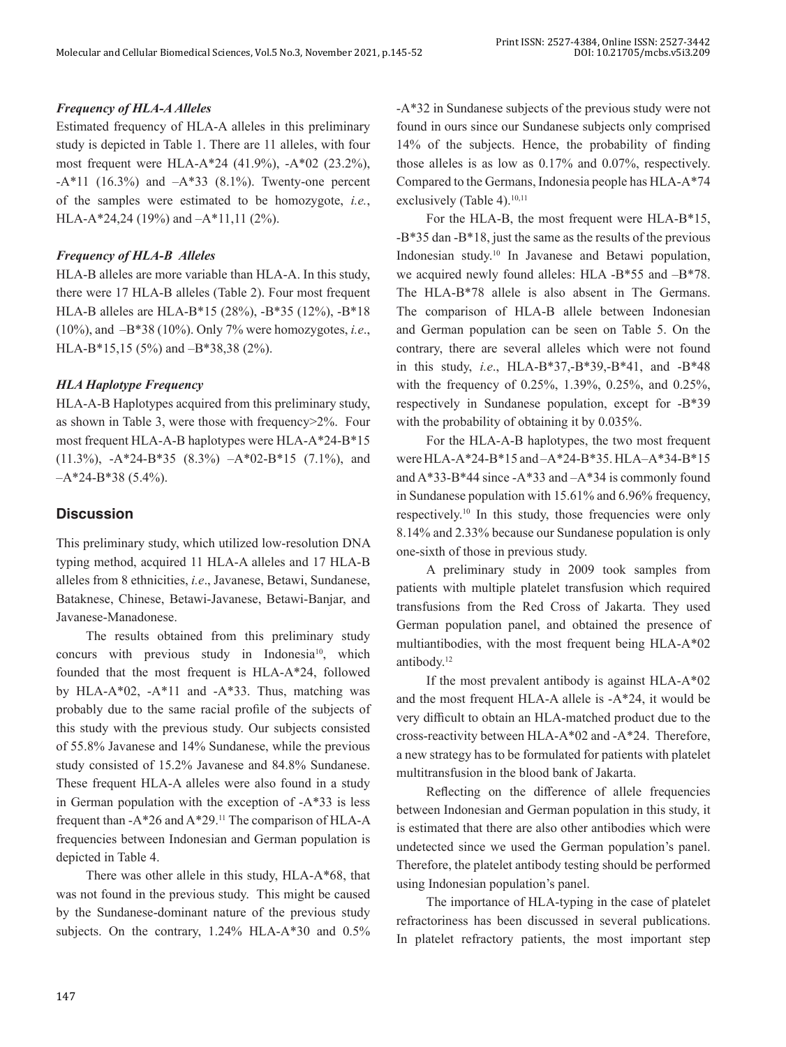## *Frequency of HLA-A Alleles*

Estimated frequency of HLA-A alleles in this preliminary study is depicted in Table 1. There are 11 alleles, with four most frequent were HLA-A\*24 (41.9%), -A\*02 (23.2%),  $-A*11$  (16.3%) and  $-A*33$  (8.1%). Twenty-one percent of the samples were estimated to be homozygote, *i.e.*, HLA-A\*24,24 (19%) and –A\*11,11 (2%).

## *Frequency of HLA-B Alleles*

HLA-B alleles are more variable than HLA-A. In this study, there were 17 HLA-B alleles (Table 2). Four most frequent HLA-B alleles are HLA-B\*15 (28%), -B\*35 (12%), -B\*18 (10%), and –B\*38 (10%). Only 7% were homozygotes, *i.e*., HLA-B\*15,15 (5%) and –B\*38,38 (2%).

## *HLA Haplotype Frequency*

HLA-A-B Haplotypes acquired from this preliminary study, as shown in Table 3, were those with frequency>2%. Four most frequent HLA-A-B haplotypes were HLA-A\*24-B\*15 (11.3%), -A\*24-B\*35 (8.3%) –A\*02-B\*15 (7.1%), and  $-A*24-B*38$  (5.4%).

# **Discussion**

This preliminary study, which utilized low-resolution DNA typing method, acquired 11 HLA-A alleles and 17 HLA-B alleles from 8 ethnicities, *i.e*., Javanese, Betawi, Sundanese, Bataknese, Chinese, Betawi-Javanese, Betawi-Banjar, and Javanese-Manadonese.

The results obtained from this preliminary study concurs with previous study in Indonesia<sup>10</sup>, which founded that the most frequent is HLA-A\*24, followed by HLA-A\*02, -A\*11 and -A\*33. Thus, matching was probably due to the same racial profile of the subjects of this study with the previous study. Our subjects consisted of 55.8% Javanese and 14% Sundanese, while the previous study consisted of 15.2% Javanese and 84.8% Sundanese. These frequent HLA-A alleles were also found in a study in German population with the exception of -A\*33 is less frequent than  $-A*26$  and  $A*29$ .<sup>11</sup> The comparison of HLA-A frequencies between Indonesian and German population is depicted in Table 4.

There was other allele in this study, HLA-A\*68, that was not found in the previous study. This might be caused by the Sundanese-dominant nature of the previous study subjects. On the contrary, 1.24% HLA-A\*30 and 0.5% -A\*32 in Sundanese subjects of the previous study were not found in ours since our Sundanese subjects only comprised 14% of the subjects. Hence, the probability of finding those alleles is as low as 0.17% and 0.07%, respectively. Compared to the Germans, Indonesia people has HLA-A\*74 exclusively (Table 4).<sup>10,11</sup>

For the HLA-B, the most frequent were HLA-B\*15, -B\*35 dan -B\*18, just the same as the results of the previous Indonesian study.10 In Javanese and Betawi population, we acquired newly found alleles: HLA -B\*55 and –B\*78. The HLA-B\*78 allele is also absent in The Germans. The comparison of HLA-B allele between Indonesian and German population can be seen on Table 5. On the contrary, there are several alleles which were not found in this study, *i.e*., HLA-B\*37,-B\*39,-B\*41, and -B\*48 with the frequency of 0.25%, 1.39%, 0.25%, and 0.25%, respectively in Sundanese population, except for -B\*39 with the probability of obtaining it by 0.035%.

For the HLA-A-B haplotypes, the two most frequent were HLA-A\*24-B\*15 and –A\*24-B\*35. HLA–A\*34-B\*15 and  $A*33-B*44$  since  $-A*33$  and  $-A*34$  is commonly found in Sundanese population with 15.61% and 6.96% frequency, respectively.<sup>10</sup> In this study, those frequencies were only 8.14% and 2.33% because our Sundanese population is only one-sixth of those in previous study.

A preliminary study in 2009 took samples from patients with multiple platelet transfusion which required transfusions from the Red Cross of Jakarta. They used German population panel, and obtained the presence of multiantibodies, with the most frequent being HLA-A\*02 antibody.12

If the most prevalent antibody is against HLA-A\*02 and the most frequent HLA-A allele is -A\*24, it would be very difficult to obtain an HLA-matched product due to the cross-reactivity between HLA-A\*02 and -A\*24. Therefore, a new strategy has to be formulated for patients with platelet multitransfusion in the blood bank of Jakarta.

Reflecting on the difference of allele frequencies between Indonesian and German population in this study, it is estimated that there are also other antibodies which were undetected since we used the German population's panel. Therefore, the platelet antibody testing should be performed using Indonesian population's panel.

The importance of HLA-typing in the case of platelet refractoriness has been discussed in several publications. In platelet refractory patients, the most important step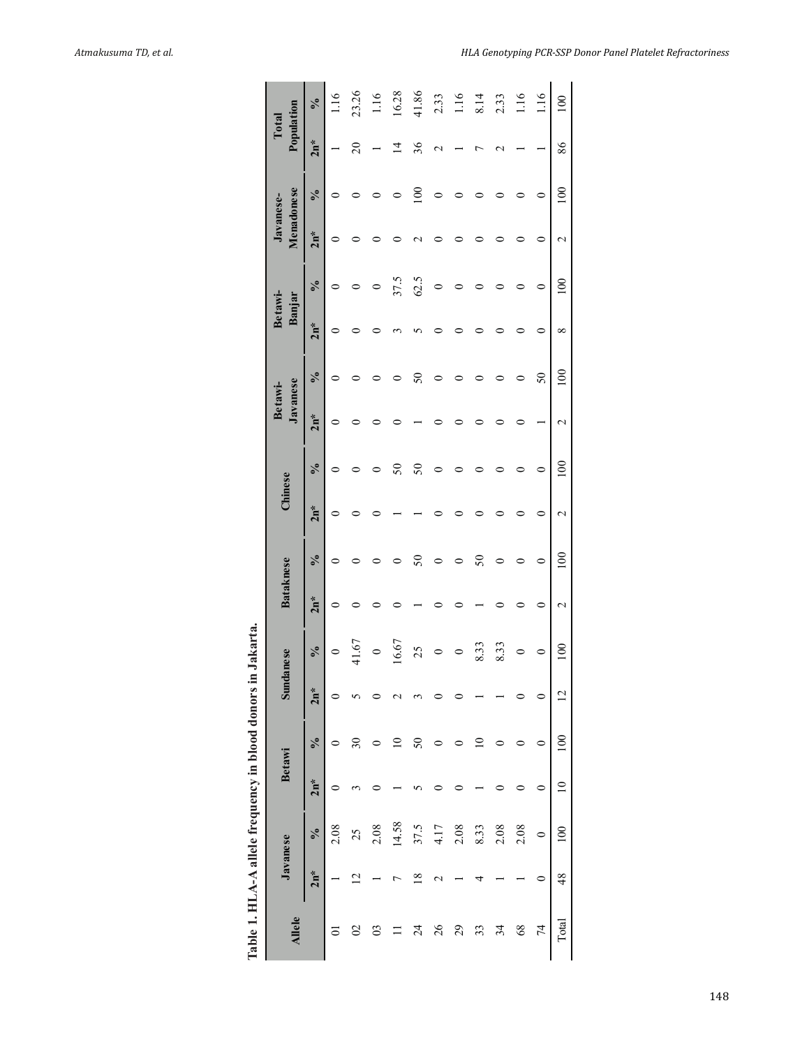| Table 1. HLA-A allele frequency in blood donors |                |            |           |                          |                | in Jakarta. |                   |            |                   |               |                     |            |                   |            |                         |            |                     |            |
|-------------------------------------------------|----------------|------------|-----------|--------------------------|----------------|-------------|-------------------|------------|-------------------|---------------|---------------------|------------|-------------------|------------|-------------------------|------------|---------------------|------------|
| <b>Allele</b>                                   |                | Javanese   |           | Betawi                   | $\sin$         | danese      | <b>Bataknese</b>  |            | Chinese           |               | Javanese<br>Betawi- |            | Betawi-<br>Banjar |            | Menadonese<br>Javanese- |            | Population<br>Total |            |
|                                                 | $2n*$          | $\sqrt{6}$ | $2n*$     | $\sqrt{6}$               | $2n*$          | $\sqrt{6}$  | $2n*$             | $\sqrt{6}$ | $2n*$             | $\frac{6}{6}$ | $2n*$               | $\sqrt{6}$ | $2n*$             | $\sqrt{6}$ | $2n*$                   | $\sqrt{6}$ | $2n*$               | $\sqrt{6}$ |
|                                                 |                | 2.08       |           |                          |                | $\circ$     | $\circ$           |            | 0                 | $\circ$       | $\circ$             |            | ⊂                 |            |                         |            |                     | 116        |
| $\overline{C}$                                  |                | 25         |           | $\overline{\mathcal{E}}$ |                | 41.67       |                   |            |                   |               |                     |            |                   |            |                         |            | $\approx$           | 23.26      |
| $\overline{0}$                                  |                | 2.08       |           |                          |                | $\circ$     |                   |            |                   |               |                     |            |                   |            |                         |            |                     | 1.16       |
|                                                 |                | 14.58      |           |                          |                | 16.67       |                   |            |                   | $50\,$        |                     |            |                   | 37.5       |                         |            |                     | 16.28      |
| 24                                              | $\frac{8}{10}$ | 37.5       |           | 50                       |                | 25          |                   | $50\,$     |                   | $50\,$        |                     | $50\,$     |                   | 62.5       |                         | $\Xi$      | 36                  | 41.86      |
| 26                                              |                | 4.17       |           |                          |                | 0           |                   | 0          |                   | 0             |                     |            |                   | $\circ$    |                         | 0          |                     | 2.33       |
| 29                                              |                | 2.08       |           |                          |                | $\circ$     |                   | 0          |                   | ⊂             |                     |            |                   |            |                         |            |                     | 1.16       |
| 33                                              |                | 8.33       |           |                          |                | 8.33        |                   | $50\,$     |                   |               |                     |            |                   |            |                         |            |                     | 8.14       |
| 34                                              |                | 2.08       |           |                          |                | 8.33        |                   | $\circ$    |                   |               |                     |            |                   |            |                         |            |                     | 2.33       |
| $\frac{8}{3}$                                   |                | 2.08       |           |                          |                | $\circ$     |                   | 0          |                   | 0             |                     |            |                   |            |                         |            |                     | 1.16       |
| 74                                              |                | $\circ$    |           |                          |                | 0           | 0                 | $\circ$    | 0                 | 0             |                     | $50\,$     |                   | $\circ$    |                         | 0          |                     | 1.16       |
| Total                                           | $\frac{48}{5}$ | 100        | $\approx$ | 100                      | $\overline{2}$ | 100         | $\mathbf{\Omega}$ | 100        | $\mathbf{\Omega}$ | 100           | $\mathbf{\sim}$     | 100        | $\infty$          | 100        | $\mathbf{\sim}$         | 100        | 86                  | 100        |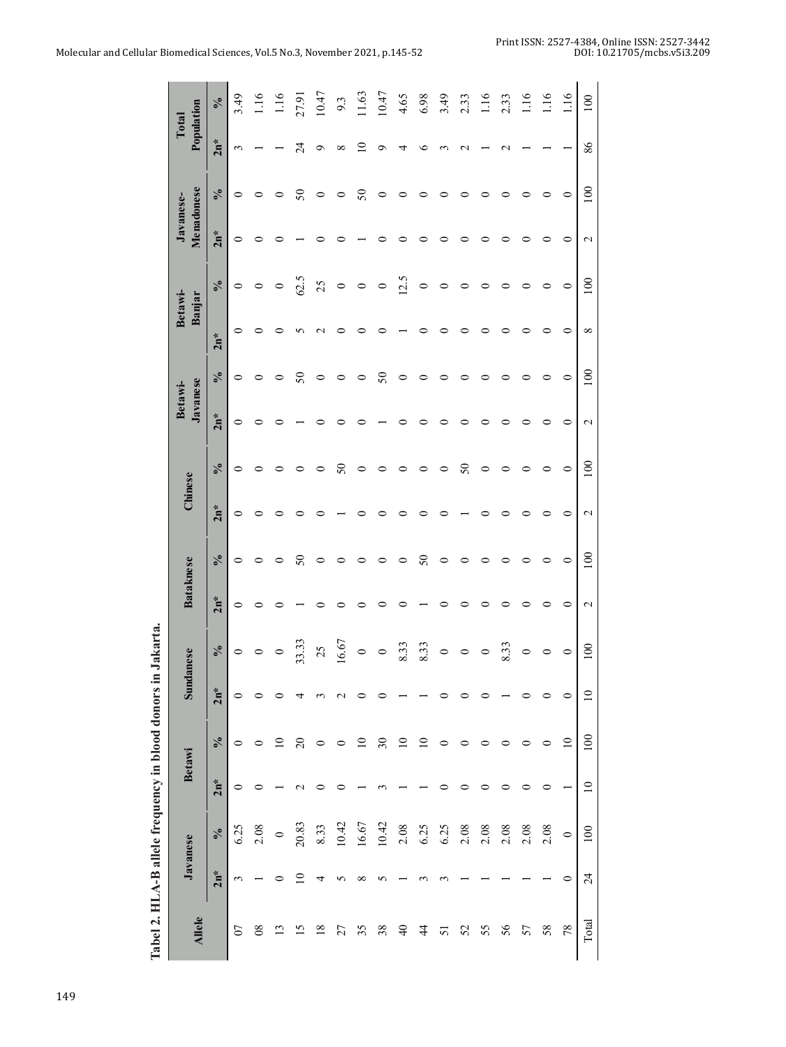| Tabel 2. HLA-B allele frequency in blood donors in |                 |            |                |                            |                          | Jakarta.   |                  |                            |               |                            |                     |            |                    |                   |                         |            |                     |                |
|----------------------------------------------------|-----------------|------------|----------------|----------------------------|--------------------------|------------|------------------|----------------------------|---------------|----------------------------|---------------------|------------|--------------------|-------------------|-------------------------|------------|---------------------|----------------|
| <b>Allele</b>                                      |                 | Javanese   |                | <b>Betawi</b>              | <b>Sund</b>              | anese      | <b>Bataknese</b> |                            | Chinese       |                            | Javanese<br>Betawi- |            |                    | Betawi-<br>Banjar | Menadonese<br>Javanese- |            | Population<br>Total |                |
|                                                    | $2n^*$          | $\sqrt{6}$ | $2n^*$         | $\mathcal{S}_{\mathbf{0}}$ | $2n*$                    | $\sqrt{6}$ | $2n*$            | $\mathcal{S}_{\mathbf{0}}$ | $2n*$         | $\mathcal{S}_{\mathbf{0}}$ | $2n*$               | $\sqrt{6}$ | $2n*$              | $\sqrt{6}$        | $2n^*$                  | $\sqrt{6}$ | $2n*$               | $\sqrt{6}$     |
| $\overline{0}$                                     | 3               | 6.25       | 0              | $\circ$                    | 0                        | $\circ$    | 0                | 0                          | $\circ$       | 0                          | $\circ$             | $\circ$    | $\circ$            | $\circ$           | $\circ$                 | 0          | 3                   | 3.49           |
| 80                                                 |                 | 2.08       |                |                            |                          | 0          |                  |                            | 0             | ⊂                          |                     | 0          | ⊂                  | 0                 | ⊂                       |            |                     | 1.16           |
| $\mathbf{C}$                                       |                 | $\circ$    |                | ≘                          |                          | $\circ$    |                  |                            |               | ⊂                          |                     | $\circ$    | ⊂                  | $\circ$           | ⊂                       |            |                     | 1.16           |
| $\overline{5}$                                     | P               | 20.83      |                | $\overline{c}$             |                          | 33.33      |                  | $50\,$                     | c             |                            |                     | $50\,$     | n                  | 62.5              |                         | $50\,$     | $\overline{24}$     | 27.91          |
| $\frac{8}{18}$                                     |                 | 8.33       |                | $\circ$                    |                          | 25         |                  | 0                          |               |                            |                     | $\circ$    | $\scriptstyle\sim$ | 25                |                         | 0          | Ō                   | 10.47          |
| 27                                                 | n               | 10.42      |                | $\circ$                    |                          | 16.67      |                  |                            |               | $50\,$                     |                     | 0          | ⊂                  | $\circ$           |                         |            | ∝                   | 9.3            |
| 35                                                 | ∞               | 16.67      |                | $\supseteq$                |                          | $\circ$    |                  |                            |               | 0                          |                     | 0          |                    | 0                 |                         | 50         |                     | 11.63          |
| 38                                                 | 5               | 10.42      |                | $\overline{\mathcal{E}}$   |                          |            |                  |                            |               | ⊂                          |                     | $50\,$     |                    | $\circ$           |                         | 0          | ᡋ                   | 10.47          |
| $\overline{4}$                                     |                 | 2.08       |                | ≘                          |                          | 8.33       |                  |                            |               | ⊂                          |                     | $\circ$    |                    | 12.5              |                         |            | ч                   | 4.65           |
| $\frac{4}{3}$                                      |                 | 6.25       |                | ≘                          |                          | 8.33       |                  | $50\,$                     |               | ○                          |                     | 0          | 0                  | 0                 | ⊂                       |            | €                   | 6.98           |
| 51                                                 |                 | 6.25       |                |                            |                          | $\circ$    |                  | 0                          |               | ⊂                          |                     | 0          |                    | 0                 |                         |            |                     | 3.49           |
| 52                                                 |                 | 2.08       |                |                            |                          | 0          |                  |                            |               | $50\,$                     |                     | 0          | ⊂                  | 0                 |                         |            | $\scriptstyle\sim$  | 2.33           |
| 55                                                 |                 | 2.08       |                |                            |                          | $\circ$    |                  |                            |               | $\circ$                    |                     | 0          | ⊂                  | 0                 |                         |            |                     | $\frac{1}{10}$ |
| 56                                                 |                 | 2.08       |                |                            |                          | 8.33       |                  |                            |               | ⊂                          |                     | ⊂          | 0                  | ⊂                 |                         |            | r                   | 2.33           |
| 57                                                 |                 | 2.08       |                |                            |                          | $\circ$    |                  |                            |               | ⊂                          |                     | ⊂          | c                  | ⊂                 |                         |            |                     | 1.16           |
| 58                                                 |                 | 2.08       | ⊂              |                            | 0                        |            |                  | 0                          |               | ⊂                          |                     | 0          | ⊂                  | 0                 | ⊂                       |            |                     | 1.16           |
| 78                                                 | 0               | $\circ$    |                | $\overline{10}$            | 0                        | $\circ$    | ⊂                | $\circ$                    | 0             | $\circ$                    | 0                   | $\circ$    | 0                  | 0                 | 0                       | 0          |                     | 1.16           |
| Total                                              | $\overline{24}$ | 100        | $\overline{a}$ | 100                        | $\overline{\phantom{0}}$ | 100        | $\mathbf 2$      | 100                        | $\mathcal{L}$ | $\approx$                  | $\mathcal{L}$       | 100        | $\infty$           | 100               | $\mathcal{L}$           | 100        | 86                  | 100            |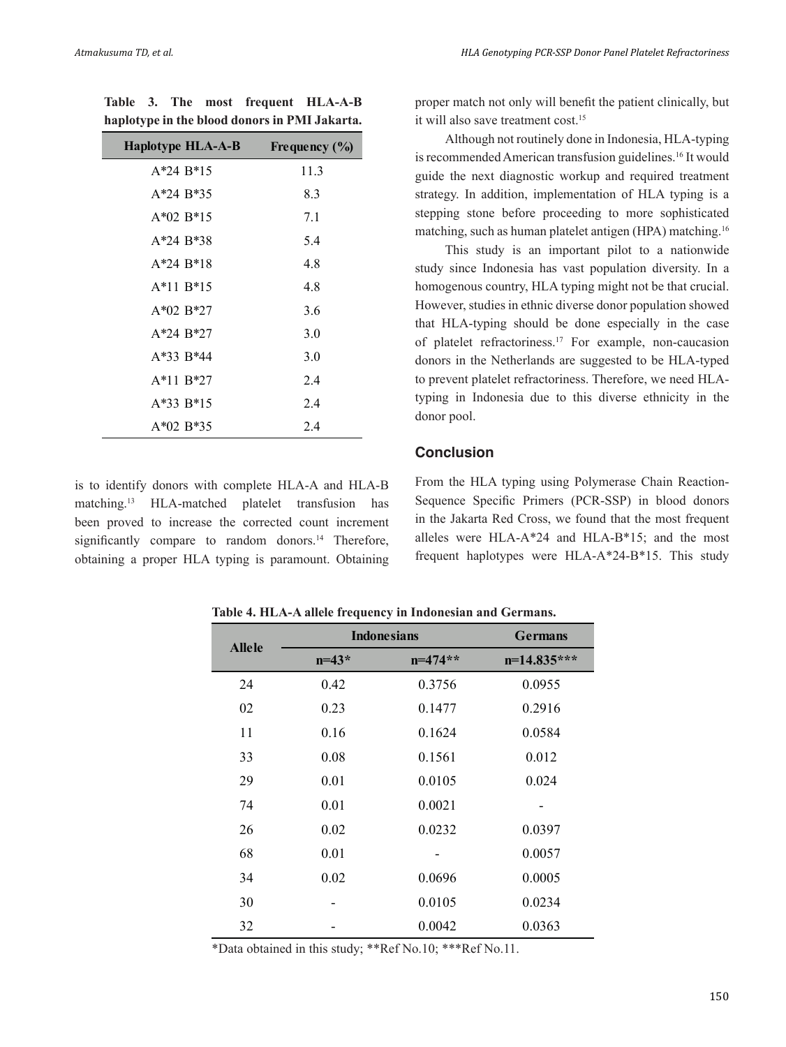**Table 3. The most frequent HLA-A-B haplotype in the blood donors in PMI Jakarta.**

| Haplotype HLA-A-B | Frequency $(\%$ |
|-------------------|-----------------|
| $A*24 B*15$       | 11.3            |
| $A*24 B*35$       | 8.3             |
| $A*02 B*15$       | 7.1             |
| A*24 B*38         | 5.4             |
| $A*24 B*18$       | 4.8             |
| $A*11 B*15$       | 4.8             |
| $A*02 B*27$       | 3.6             |
| $A*24 B*27$       | 3.0             |
| $A*33 B*44$       | 3.0             |
| $A*11 B*27$       | 2.4             |
| $A*33 B*15$       | 2.4             |
| $A*02 B*35$       | 2.4             |

is to identify donors with complete HLA-A and HLA-B matching.13 HLA-matched platelet transfusion has been proved to increase the corrected count increment significantly compare to random donors.<sup>14</sup> Therefore, obtaining a proper HLA typing is paramount. Obtaining proper match not only will benefit the patient clinically, but it will also save treatment cost.15

Although not routinely done in Indonesia, HLA-typing is recommended American transfusion guidelines.<sup>16</sup> It would guide the next diagnostic workup and required treatment strategy. In addition, implementation of HLA typing is a stepping stone before proceeding to more sophisticated matching, such as human platelet antigen (HPA) matching.16

This study is an important pilot to a nationwide study since Indonesia has vast population diversity. In a homogenous country, HLA typing might not be that crucial. However, studies in ethnic diverse donor population showed that HLA-typing should be done especially in the case of platelet refractoriness.<sup>17</sup> For example, non-caucasion donors in the Netherlands are suggested to be HLA-typed to prevent platelet refractoriness. Therefore, we need HLAtyping in Indonesia due to this diverse ethnicity in the donor pool.

# **Conclusion**

From the HLA typing using Polymerase Chain Reaction-Sequence Specific Primers (PCR-SSP) in blood donors in the Jakarta Red Cross, we found that the most frequent alleles were HLA-A\*24 and HLA-B\*15; and the most frequent haplotypes were HLA-A\*24-B\*15. This study

**Table 4. HLA-A allele frequency in Indonesian and Germans.**

| <b>Allele</b> |         | <b>Indonesians</b> | <b>Germans</b> |
|---------------|---------|--------------------|----------------|
|               | $n=43*$ | $n=474**$          | $n=14.835***$  |
| 24            | 0.42    | 0.3756             | 0.0955         |
| 02            | 0.23    | 0.1477             | 0.2916         |
| 11            | 0.16    | 0.1624             | 0.0584         |
| 33            | 0.08    | 0.1561             | 0.012          |
| 29            | 0.01    | 0.0105             | 0.024          |
| 74            | 0.01    | 0.0021             |                |
| 26            | 0.02    | 0.0232             | 0.0397         |
| 68            | 0.01    |                    | 0.0057         |
| 34            | 0.02    | 0.0696             | 0.0005         |
| 30            |         | 0.0105             | 0.0234         |
| 32            |         | 0.0042             | 0.0363         |

\*Data obtained in this study; \*\*Ref No.10; \*\*\*Ref No.11.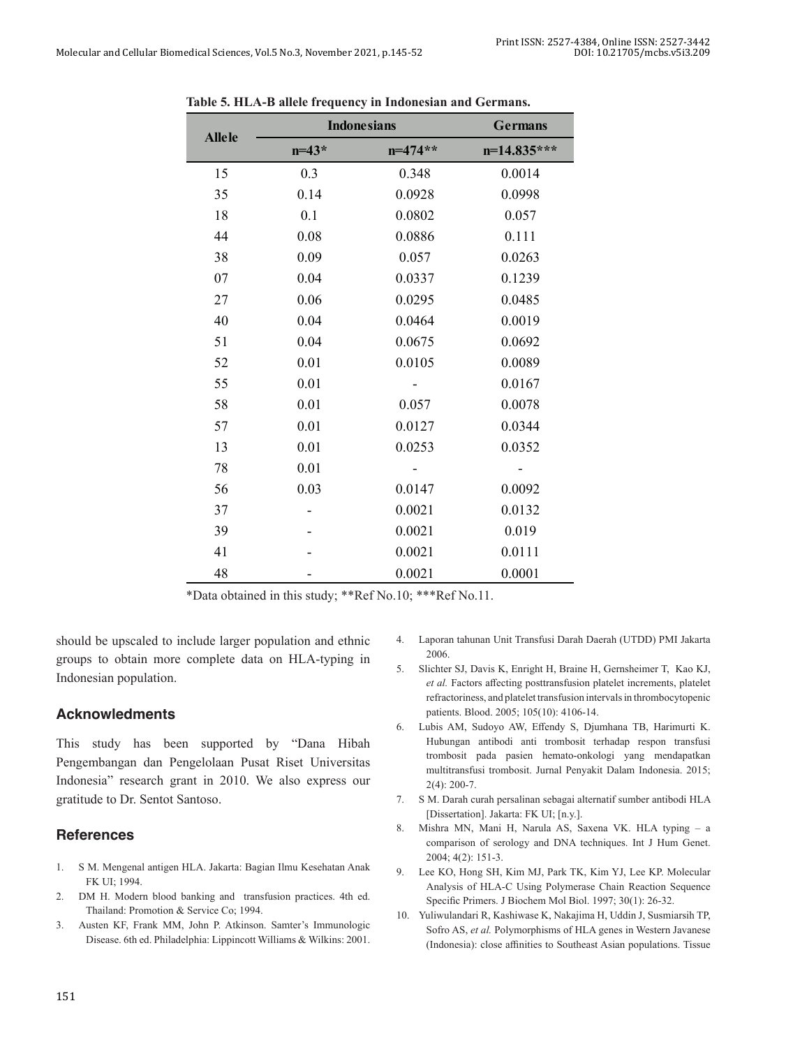|               |           | <b>Indonesians</b> | <b>Germans</b> |
|---------------|-----------|--------------------|----------------|
| <b>Allele</b> | $n = 43*$ | $n=474**$          | $n=14.835***$  |
| 15            | 0.3       | 0.348              | 0.0014         |
| 35            | 0.14      | 0.0928             | 0.0998         |
| 18            | 0.1       | 0.0802             | 0.057          |
| 44            | 0.08      | 0.0886             | 0.111          |
| 38            | 0.09      | 0.057              | 0.0263         |
| 07            | 0.04      | 0.0337             | 0.1239         |
| 27            | 0.06      | 0.0295             | 0.0485         |
| 40            | 0.04      | 0.0464             | 0.0019         |
| 51            | 0.04      | 0.0675             | 0.0692         |
| 52            | 0.01      | 0.0105             | 0.0089         |
| 55            | 0.01      |                    | 0.0167         |
| 58            | 0.01      | 0.057              | 0.0078         |
| 57            | 0.01      | 0.0127             | 0.0344         |
| 13            | 0.01      | 0.0253             | 0.0352         |
| 78            | 0.01      |                    |                |
| 56            | 0.03      | 0.0147             | 0.0092         |
| 37            |           | 0.0021             | 0.0132         |
| 39            |           | 0.0021             | 0.019          |
| 41            |           | 0.0021             | 0.0111         |
| 48            |           | 0.0021             | 0.0001         |

**Table 5. HLA-B allele frequency in Indonesian and Germans.**

\*Data obtained in this study; \*\*Ref No.10; \*\*\*Ref No.11.

should be upscaled to include larger population and ethnic groups to obtain more complete data on HLA-typing in Indonesian population.

# **Acknowledments**

This study has been supported by "Dana Hibah Pengembangan dan Pengelolaan Pusat Riset Universitas Indonesia" research grant in 2010. We also express our gratitude to Dr. Sentot Santoso.

# **References**

- 1. S M. Mengenal antigen HLA. Jakarta: Bagian Ilmu Kesehatan Anak FK UI; 1994.
- 2. DM H. Modern blood banking and transfusion practices. 4th ed. Thailand: Promotion & Service Co; 1994.
- 3. Austen KF, Frank MM, John P. Atkinson. Samter's Immunologic Disease. 6th ed. Philadelphia: Lippincott Williams & Wilkins: 2001.
- 4. Laporan tahunan Unit Transfusi Darah Daerah (UTDD) PMI Jakarta 2006.
- 5. Slichter SJ, Davis K, Enright H, Braine H, Gernsheimer T, Kao KJ, *et al.* Factors affecting posttransfusion platelet increments, platelet refractoriness, and platelet transfusion intervals in thrombocytopenic patients. Blood. 2005; 105(10): 4106-14.
- 6. Lubis AM, Sudoyo AW, Effendy S, Djumhana TB, Harimurti K. Hubungan antibodi anti trombosit terhadap respon transfusi trombosit pada pasien hemato-onkologi yang mendapatkan multitransfusi trombosit. Jurnal Penyakit Dalam Indonesia. 2015; 2(4): 200-7.
- 7. S M. Darah curah persalinan sebagai alternatif sumber antibodi HLA [Dissertation]. Jakarta: FK UI; [n.y.].
- 8. Mishra MN, Mani H, Narula AS, Saxena VK. HLA typing a comparison of serology and DNA techniques. Int J Hum Genet. 2004; 4(2): 151-3.
- 9. Lee KO, Hong SH, Kim MJ, Park TK, Kim YJ, Lee KP. Molecular Analysis of HLA-C Using Polymerase Chain Reaction Sequence Specific Primers. J Biochem Mol Biol. 1997; 30(1): 26-32.
- 10. Yuliwulandari R, Kashiwase K, Nakajima H, Uddin J, Susmiarsih TP, Sofro AS, *et al.* Polymorphisms of HLA genes in Western Javanese (Indonesia): close affinities to Southeast Asian populations. Tissue